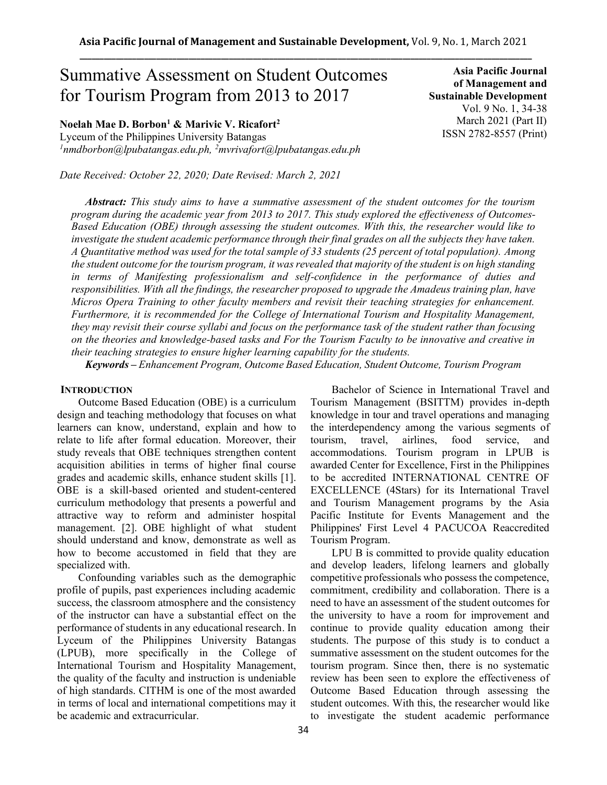# Summative Assessment on Student Outcomes for Tourism Program from 2013 to 2017

**Noelah Mae D. Borbon<sup>1</sup> & Marivic V. Ricafort<sup>2</sup>**

Lyceum of the Philippines University Batangas *<sup>1</sup>nmdborbon@lpubatangas.edu.ph, <sup>2</sup>mvrivafort@lpubatangas.edu.ph*

*Date Received: October 22, 2020; Date Revised: March 2, 2021*

**Asia Pacific Journal of Management and Sustainable Development**  Vol. 9 No. 1, 34-38 March 2021 (Part II) ISSN 2782-8557 (Print)

*Abstract: This study aims to have a summative assessment of the student outcomes for the tourism program during the academic year from 2013 to 2017. This study explored the effectiveness of Outcomes-Based Education (OBE) through assessing the student outcomes. With this, the researcher would like to investigate the student academic performance through their final grades on all the subjects they have taken. A Quantitative method was used for the total sample of 33 students (25 percent of total population). Among the student outcome for the tourism program, it was revealed that majority of the student is on high standing in terms of Manifesting professionalism and self-confidence in the performance of duties and responsibilities. With all the findings, the researcher proposed to upgrade the Amadeus training plan, have Micros Opera Training to other faculty members and revisit their teaching strategies for enhancement. Furthermore, it is recommended for the College of International Tourism and Hospitality Management, they may revisit their course syllabi and focus on the performance task of the student rather than focusing on the theories and knowledge-based tasks and For the Tourism Faculty to be innovative and creative in their teaching strategies to ensure higher learning capability for the students.*

*Keywords – Enhancement Program, Outcome Based Education, Student Outcome, Tourism Program*

## **INTRODUCTION**

Outcome Based Education (OBE) is a curriculum design and teaching methodology that focuses on what learners can know, understand, explain and how to relate to life after formal education. Moreover, their study reveals that OBE techniques strengthen content acquisition abilities in terms of higher final course grades and academic skills, enhance student skills [1]. OBE is a skill-based oriented and student-centered curriculum methodology that presents a powerful and attractive way to reform and administer hospital management. [2]. OBE highlight of what student should understand and know, demonstrate as well as how to become accustomed in field that they are specialized with.

Confounding variables such as the demographic profile of pupils, past experiences including academic success, the classroom atmosphere and the consistency of the instructor can have a substantial effect on the performance of students in any educational research. In Lyceum of the Philippines University Batangas (LPUB), more specifically in the College of International Tourism and Hospitality Management, the quality of the faculty and instruction is undeniable of high standards. CITHM is one of the most awarded in terms of local and international competitions may it be academic and extracurricular.

Bachelor of Science in International Travel and Tourism Management (BSITTM) provides in-depth knowledge in tour and travel operations and managing the interdependency among the various segments of tourism, travel, airlines, food service, and accommodations. Tourism program in LPUB is awarded Center for Excellence, First in the Philippines to be accredited INTERNATIONAL CENTRE OF EXCELLENCE (4Stars) for its International Travel and Tourism Management programs by the Asia Pacific Institute for Events Management and the Philippines' First Level 4 PACUCOA Reaccredited Tourism Program.

LPU B is committed to provide quality education and develop leaders, lifelong learners and globally competitive professionals who possess the competence, commitment, credibility and collaboration. There is a need to have an assessment of the student outcomes for the university to have a room for improvement and continue to provide quality education among their students. The purpose of this study is to conduct a summative assessment on the student outcomes for the tourism program. Since then, there is no systematic review has been seen to explore the effectiveness of Outcome Based Education through assessing the student outcomes. With this, the researcher would like to investigate the student academic performance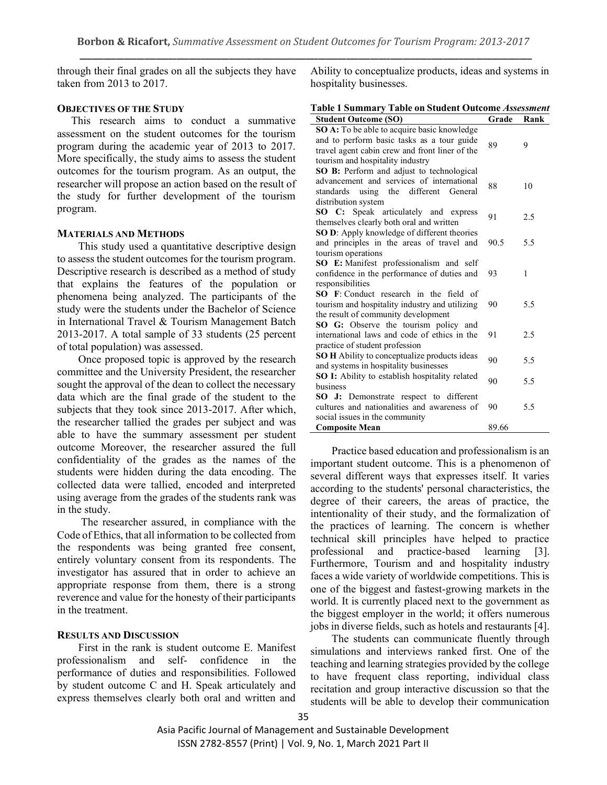through their final grades on all the subjects they have taken from 2013 to 2017.

# **OBJECTIVES OF THE STUDY**

This research aims to conduct a summative assessment on the student outcomes for the tourism program during the academic year of 2013 to 2017. More specifically, the study aims to assess the student outcomes for the tourism program. As an output, the researcher will propose an action based on the result of the study for further development of the tourism program.

## **MATERIALS AND METHODS**

This study used a quantitative descriptive design to assess the student outcomes for the tourism program. Descriptive research is described as a method of study that explains the features of the population or phenomena being analyzed. The participants of the study were the students under the Bachelor of Science in International Travel & Tourism Management Batch 2013-2017. A total sample of 33 students (25 percent of total population) was assessed.

Once proposed topic is approved by the research committee and the University President, the researcher sought the approval of the dean to collect the necessary data which are the final grade of the student to the subjects that they took since 2013-2017. After which, the researcher tallied the grades per subject and was able to have the summary assessment per student outcome Moreover, the researcher assured the full confidentiality of the grades as the names of the students were hidden during the data encoding. The collected data were tallied, encoded and interpreted using average from the grades of the students rank was in the study.

The researcher assured, in compliance with the Code of Ethics, that all information to be collected from the respondents was being granted free consent, entirely voluntary consent from its respondents. The investigator has assured that in order to achieve an appropriate response from them, there is a strong reverence and value for the honesty of their participants in the treatment.

# **RESULTS AND DISCUSSION**

First in the rank is student outcome E. Manifest professionalism and self- confidence in the performance of duties and responsibilities. Followed by student outcome C and H. Speak articulately and express themselves clearly both oral and written and

Ability to conceptualize products, ideas and systems in hospitality businesses.

|                                                                    | Table 1 Summary Table on Student Outcome Assessment |                         |  |
|--------------------------------------------------------------------|-----------------------------------------------------|-------------------------|--|
| $\alpha$ $\alpha$ $\alpha$ $\beta$ $\beta$ $\beta$ $\beta$ $\beta$ |                                                     | $C \cdot 1$ $D \cdot 1$ |  |

| <b>Student Outcome (SO)</b>                    | Grade | Rank |  |  |
|------------------------------------------------|-------|------|--|--|
| SO A: To be able to acquire basic knowledge    |       |      |  |  |
| and to perform basic tasks as a tour guide     | 89    | 9    |  |  |
| travel agent cabin crew and front liner of the |       |      |  |  |
| tourism and hospitality industry               |       |      |  |  |
| SO B: Perform and adjust to technological      |       |      |  |  |
| advancement and services of international      | 88    | 10   |  |  |
| using the different<br>standards<br>General    |       |      |  |  |
| distribution system                            |       |      |  |  |
| SO C: Speak articulately and express           | 91    | 2.5  |  |  |
| themselves clearly both oral and written       |       |      |  |  |
| SO D: Apply knowledge of different theories    |       |      |  |  |
| and principles in the areas of travel and      | 90.5  | 5.5  |  |  |
| tourism operations                             |       |      |  |  |
| SO E: Manifest professionalism and self        |       |      |  |  |
| confidence in the performance of duties and    | 93    | 1    |  |  |
| responsibilities                               |       |      |  |  |
| <b>SO</b> F: Conduct research in the field of  |       |      |  |  |
| tourism and hospitality industry and utilizing | 90    | 5.5  |  |  |
| the result of community development            |       |      |  |  |
| SO G: Observe the tourism policy and           |       |      |  |  |
| international laws and code of ethics in the   | 91    | 2.5  |  |  |
| practice of student profession                 |       |      |  |  |
| SO H Ability to conceptualize products ideas   | 90    | 5.5  |  |  |
| and systems in hospitality businesses          |       |      |  |  |
| SO I: Ability to establish hospitality related | 90    | 5.5  |  |  |
| business                                       |       |      |  |  |
| Demonstrate respect to different<br>SO J:      |       |      |  |  |
| cultures and nationalities and awareness of    | 90    | 5.5  |  |  |
| social issues in the community                 |       |      |  |  |
| <b>Composite Mean</b>                          | 89.66 |      |  |  |

Practice based education and professionalism is an important student outcome. This is a phenomenon of several different ways that expresses itself. It varies according to the students' personal characteristics, the degree of their careers, the areas of practice, the intentionality of their study, and the formalization of the practices of learning. The concern is whether technical skill principles have helped to practice professional and practice-based learning [3]. Furthermore, Tourism and and hospitality industry faces a wide variety of worldwide competitions. This is one of the biggest and fastest-growing markets in the world. It is currently placed next to the government as the biggest employer in the world; it offers numerous jobs in diverse fields, such as hotels and restaurants [4].

The students can communicate fluently through simulations and interviews ranked first. One of the teaching and learning strategies provided by the college to have frequent class reporting, individual class recitation and group interactive discussion so that the students will be able to develop their communication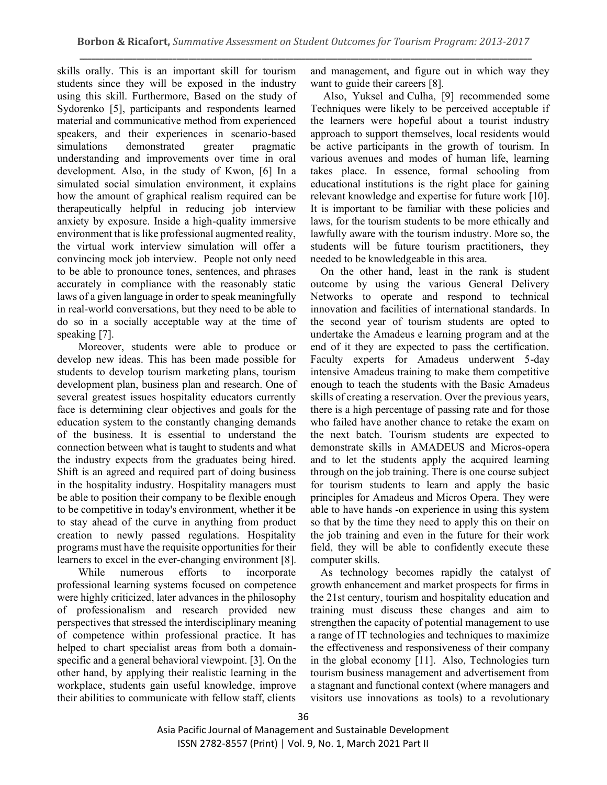skills orally. This is an important skill for tourism students since they will be exposed in the industry using this skill. Furthermore, Based on the study of Sydorenko [5], participants and respondents learned material and communicative method from experienced speakers, and their experiences in scenario-based simulations demonstrated greater pragmatic understanding and improvements over time in oral development. Also, in the study of Kwon, [6] In a simulated social simulation environment, it explains how the amount of graphical realism required can be therapeutically helpful in reducing job interview anxiety by exposure. Inside a high-quality immersive environment that is like professional augmented reality, the virtual work interview simulation will offer a convincing mock job interview. People not only need to be able to pronounce tones, sentences, and phrases accurately in compliance with the reasonably static laws of a given language in order to speak meaningfully in real-world conversations, but they need to be able to do so in a socially acceptable way at the time of speaking [7].

Moreover, students were able to produce or develop new ideas. This has been made possible for students to develop tourism marketing plans, tourism development plan, business plan and research. One of several greatest issues hospitality educators currently face is determining clear objectives and goals for the education system to the constantly changing demands of the business. It is essential to understand the connection between what is taught to students and what the industry expects from the graduates being hired. Shift is an agreed and required part of doing business in the hospitality industry. Hospitality managers must be able to position their company to be flexible enough to be competitive in today's environment, whether it be to stay ahead of the curve in anything from product creation to newly passed regulations. Hospitality programs must have the requisite opportunities for their learners to excel in the ever-changing environment [8].

While numerous efforts to incorporate professional learning systems focused on competence were highly criticized, later advances in the philosophy of professionalism and research provided new perspectives that stressed the interdisciplinary meaning of competence within professional practice. It has helped to chart specialist areas from both a domainspecific and a general behavioral viewpoint. [3]. On the other hand, by applying their realistic learning in the workplace, students gain useful knowledge, improve their abilities to communicate with fellow staff, clients

and management, and figure out in which way they want to guide their careers [8].

Also, Yuksel and Culha, [9] recommended some Techniques were likely to be perceived acceptable if the learners were hopeful about a tourist industry approach to support themselves, local residents would be active participants in the growth of tourism. In various avenues and modes of human life, learning takes place. In essence, formal schooling from educational institutions is the right place for gaining relevant knowledge and expertise for future work [10]. It is important to be familiar with these policies and laws, for the tourism students to be more ethically and lawfully aware with the tourism industry. More so, the students will be future tourism practitioners, they needed to be knowledgeable in this area.

On the other hand, least in the rank is student outcome by using the various General Delivery Networks to operate and respond to technical innovation and facilities of international standards. In the second year of tourism students are opted to undertake the Amadeus e learning program and at the end of it they are expected to pass the certification. Faculty experts for Amadeus underwent 5-day intensive Amadeus training to make them competitive enough to teach the students with the Basic Amadeus skills of creating a reservation. Over the previous years, there is a high percentage of passing rate and for those who failed have another chance to retake the exam on the next batch. Tourism students are expected to demonstrate skills in AMADEUS and Micros-opera and to let the students apply the acquired learning through on the job training. There is one course subject for tourism students to learn and apply the basic principles for Amadeus and Micros Opera. They were able to have hands -on experience in using this system so that by the time they need to apply this on their on the job training and even in the future for their work field, they will be able to confidently execute these computer skills.

As technology becomes rapidly the catalyst of growth enhancement and market prospects for firms in the 21st century, tourism and hospitality education and training must discuss these changes and aim to strengthen the capacity of potential management to use a range of IT technologies and techniques to maximize the effectiveness and responsiveness of their company in the global economy [11]. Also, Technologies turn tourism business management and advertisement from a stagnant and functional context (where managers and visitors use innovations as tools) to a revolutionary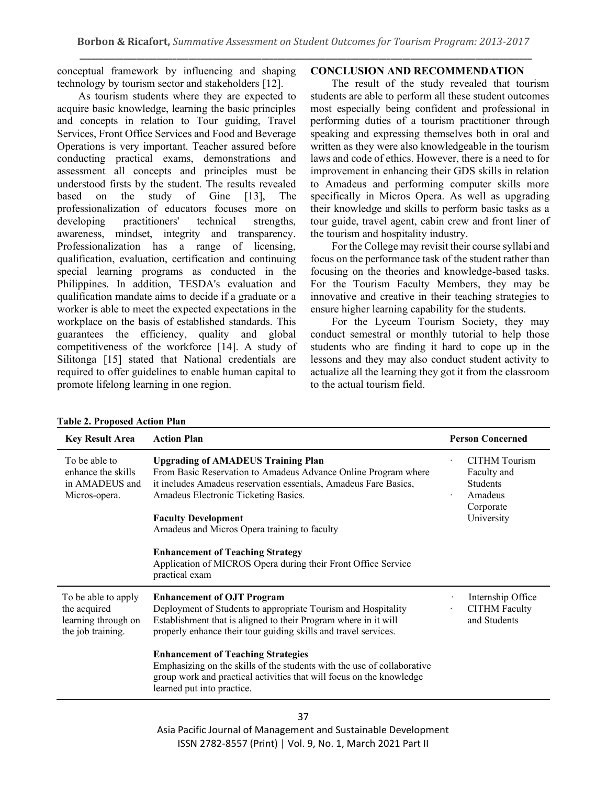conceptual framework by influencing and shaping technology by tourism sector and stakeholders [12].

As tourism students where they are expected to acquire basic knowledge, learning the basic principles and concepts in relation to Tour guiding, Travel Services, Front Office Services and Food and Beverage Operations is very important. Teacher assured before conducting practical exams, demonstrations and assessment all concepts and principles must be understood firsts by the student. The results revealed based on the study of Gine [13], The professionalization of educators focuses more on developing practitioners' technical strengths, awareness, mindset, integrity and transparency. Professionalization has a range of licensing, qualification, evaluation, certification and continuing special learning programs as conducted in the Philippines. In addition, TESDA's evaluation and qualification mandate aims to decide if a graduate or a worker is able to meet the expected expectations in the workplace on the basis of established standards. This guarantees the efficiency, quality and global competitiveness of the workforce [14]. A study of Silitonga [15] stated that National credentials are required to offer guidelines to enable human capital to promote lifelong learning in one region.

# **CONCLUSION AND RECOMMENDATION**

The result of the study revealed that tourism students are able to perform all these student outcomes most especially being confident and professional in performing duties of a tourism practitioner through speaking and expressing themselves both in oral and written as they were also knowledgeable in the tourism laws and code of ethics. However, there is a need to for improvement in enhancing their GDS skills in relation to Amadeus and performing computer skills more specifically in Micros Opera. As well as upgrading their knowledge and skills to perform basic tasks as a tour guide, travel agent, cabin crew and front liner of the tourism and hospitality industry.

For the College may revisit their course syllabi and focus on the performance task of the student rather than focusing on the theories and knowledge-based tasks. For the Tourism Faculty Members, they may be innovative and creative in their teaching strategies to ensure higher learning capability for the students.

For the Lyceum Tourism Society, they may conduct semestral or monthly tutorial to help those students who are finding it hard to cope up in the lessons and they may also conduct student activity to actualize all the learning they got it from the classroom to the actual tourism field.

| <b>Key Result Area</b>                                                          | <b>Action Plan</b>                                                                                                                                                                                                                                                                                    | <b>Person Concerned</b>                                                               |
|---------------------------------------------------------------------------------|-------------------------------------------------------------------------------------------------------------------------------------------------------------------------------------------------------------------------------------------------------------------------------------------------------|---------------------------------------------------------------------------------------|
| To be able to<br>enhance the skills<br>in AMADEUS and<br>Micros-opera.          | <b>Upgrading of AMADEUS Training Plan</b><br>From Basic Reservation to Amadeus Advance Online Program where<br>it includes Amadeus reservation essentials, Amadeus Fare Basics,<br>Amadeus Electronic Ticketing Basics.<br><b>Faculty Development</b><br>Amadeus and Micros Opera training to faculty | CITHM Tourism<br>Faculty and<br><b>Students</b><br>Amadeus<br>Corporate<br>University |
|                                                                                 | <b>Enhancement of Teaching Strategy</b><br>Application of MICROS Opera during their Front Office Service<br>practical exam                                                                                                                                                                            |                                                                                       |
| To be able to apply<br>the acquired<br>learning through on<br>the job training. | <b>Enhancement of OJT Program</b><br>Deployment of Students to appropriate Tourism and Hospitality<br>Establishment that is aligned to their Program where in it will<br>properly enhance their tour guiding skills and travel services.                                                              | Internship Office<br><b>CITHM Faculty</b><br>and Students                             |
|                                                                                 | <b>Enhancement of Teaching Strategies</b><br>Emphasizing on the skills of the students with the use of collaborative<br>group work and practical activities that will focus on the knowledge<br>learned put into practice.                                                                            |                                                                                       |

#### **Table 2. Proposed Action Plan**

37